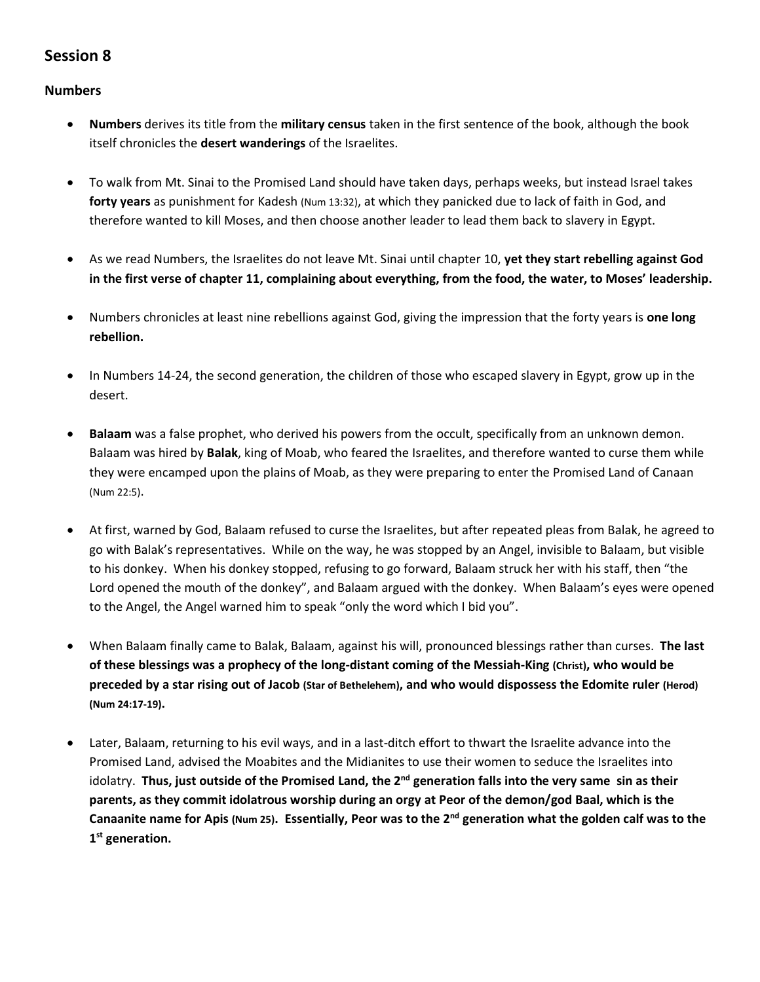## **Session 8**

## **Numbers**

- **Numbers** derives its title from the **military census** taken in the first sentence of the book, although the book itself chronicles the **desert wanderings** of the Israelites.
- To walk from Mt. Sinai to the Promised Land should have taken days, perhaps weeks, but instead Israel takes **forty years** as punishment for Kadesh (Num 13:32), at which they panicked due to lack of faith in God, and therefore wanted to kill Moses, and then choose another leader to lead them back to slavery in Egypt.
- As we read Numbers, the Israelites do not leave Mt. Sinai until chapter 10, **yet they start rebelling against God in the first verse of chapter 11, complaining about everything, from the food, the water, to Moses' leadership.**
- Numbers chronicles at least nine rebellions against God, giving the impression that the forty years is **one long rebellion.**
- In Numbers 14-24, the second generation, the children of those who escaped slavery in Egypt, grow up in the desert.
- **Balaam** was a false prophet, who derived his powers from the occult, specifically from an unknown demon. Balaam was hired by **Balak**, king of Moab, who feared the Israelites, and therefore wanted to curse them while they were encamped upon the plains of Moab, as they were preparing to enter the Promised Land of Canaan (Num 22:5).
- At first, warned by God, Balaam refused to curse the Israelites, but after repeated pleas from Balak, he agreed to go with Balak's representatives. While on the way, he was stopped by an Angel, invisible to Balaam, but visible to his donkey. When his donkey stopped, refusing to go forward, Balaam struck her with his staff, then "the Lord opened the mouth of the donkey", and Balaam argued with the donkey. When Balaam's eyes were opened to the Angel, the Angel warned him to speak "only the word which I bid you".
- When Balaam finally came to Balak, Balaam, against his will, pronounced blessings rather than curses. **The last of these blessings was a prophecy of the long-distant coming of the Messiah-King (Christ), who would be preceded by a star rising out of Jacob (Star of Bethelehem), and who would dispossess the Edomite ruler (Herod) (Num 24:17-19).**
- Later, Balaam, returning to his evil ways, and in a last-ditch effort to thwart the Israelite advance into the Promised Land, advised the Moabites and the Midianites to use their women to seduce the Israelites into idolatry. **Thus, just outside of the Promised Land, the 2nd generation falls into the very same sin as their parents, as they commit idolatrous worship during an orgy at Peor of the demon/god Baal, which is the Canaanite name for Apis (Num 25). Essentially, Peor was to the 2nd generation what the golden calf was to the 1 st generation.**